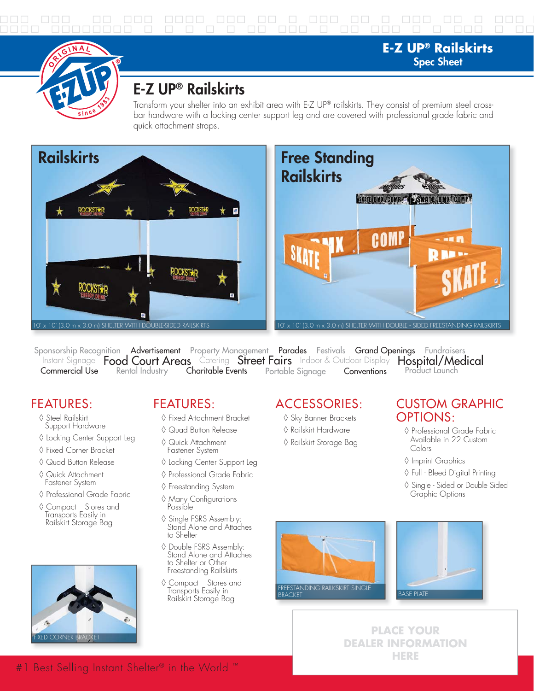

# **E-Z UP® Railskirts**

Transform your shelter into an exhibit area with E-Z UP® railskirts. They consist of premium steel crossbar hardware with a locking center support leg and are covered with professional grade fabric and quick attachment straps.



Instant Signage Food Court Areas Catering Street Fairs Indoor & Outdoor Display Commercial Use Sponsorship Recognition Advertisement Property Management Parades Festivals Grand Openings Fundraisers<br>Instant Signage **Food Court Areas** Catering **Street Fairs** Indoor & Outdoor Display **Hospital/Medical** Rental Industry **Charitable Events** Portable Signage **Conventions** Product Launch

## FEATURES:

- ◊ Steel Railskirt Support Hardware
- ◊ Locking Center Support Leg
- ◊ Fixed Corner Bracket
- ◊ Quad Button Release
- ◊ Quick Attachment Fastener System
- ◊ Professional Grade Fabric
- ◊ Compact Stores and Transports Easily in Railskirt Storage Bag



## FEATURES:

- ◊ Fixed Attachment Bracket
- ◊ Quad Button Release ◊ Quick Attachment
- Fastener System
- ◊ Locking Center Support Leg
- ◊ Professional Grade Fabric
- ◊ Freestanding System
- ◊ Many Configurations Possible
- ◊ Single FSRS Assembly: Stand Alone and Attaches to Shelter
- ◊ Double FSRS Assembly: Stand Alone and Attaches to Shelter or Other Freestanding Railskirts
- ◊ Compact Stores and Transports Easily in Railskirt Storage Bag

#### ACCESSORIES:

- ◊ Sky Banner Brackets
- ◊ Railskirt Hardware
- ◊ Railskirt Storage Bag

#### CUSTOM GRAPHIC OPTIONS:

**E-Z UP® Railskirts Spec Sheet**

- ◊ Professional Grade Fabric Available in 22 Custom Colors
- ◊ Imprint Graphics
- ◊ Full Bleed Digital Printing
- ◊ Single Sided or Double Sided Graphic Options





**PLACE YOUR DEALER INFORMATION HERE**